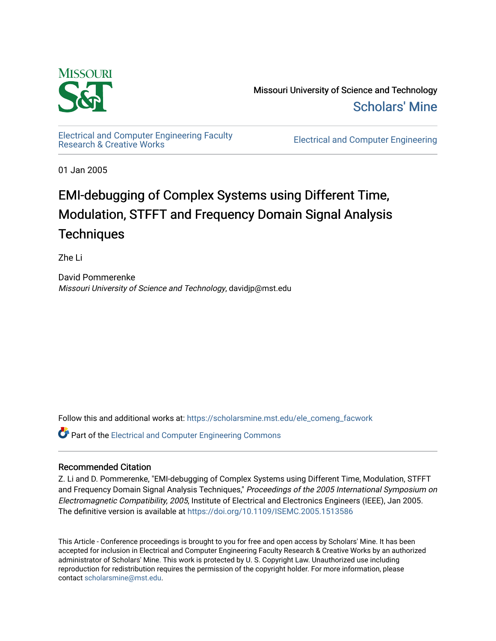

Missouri University of Science and Technology [Scholars' Mine](https://scholarsmine.mst.edu/) 

[Electrical and Computer Engineering Faculty](https://scholarsmine.mst.edu/ele_comeng_facwork)

**Electrical and Computer Engineering** 

01 Jan 2005

## EMI-debugging of Complex Systems using Different Time, Modulation, STFFT and Frequency Domain Signal Analysis **Techniques**

Zhe Li

David Pommerenke Missouri University of Science and Technology, davidjp@mst.edu

Follow this and additional works at: [https://scholarsmine.mst.edu/ele\\_comeng\\_facwork](https://scholarsmine.mst.edu/ele_comeng_facwork?utm_source=scholarsmine.mst.edu%2Fele_comeng_facwork%2F1591&utm_medium=PDF&utm_campaign=PDFCoverPages)

**C** Part of the Electrical and Computer Engineering Commons

### Recommended Citation

Z. Li and D. Pommerenke, "EMI-debugging of Complex Systems using Different Time, Modulation, STFFT and Frequency Domain Signal Analysis Techniques," Proceedings of the 2005 International Symposium on Electromagnetic Compatibility, 2005, Institute of Electrical and Electronics Engineers (IEEE), Jan 2005. The definitive version is available at <https://doi.org/10.1109/ISEMC.2005.1513586>

This Article - Conference proceedings is brought to you for free and open access by Scholars' Mine. It has been accepted for inclusion in Electrical and Computer Engineering Faculty Research & Creative Works by an authorized administrator of Scholars' Mine. This work is protected by U. S. Copyright Law. Unauthorized use including reproduction for redistribution requires the permission of the copyright holder. For more information, please contact [scholarsmine@mst.edu](mailto:scholarsmine@mst.edu).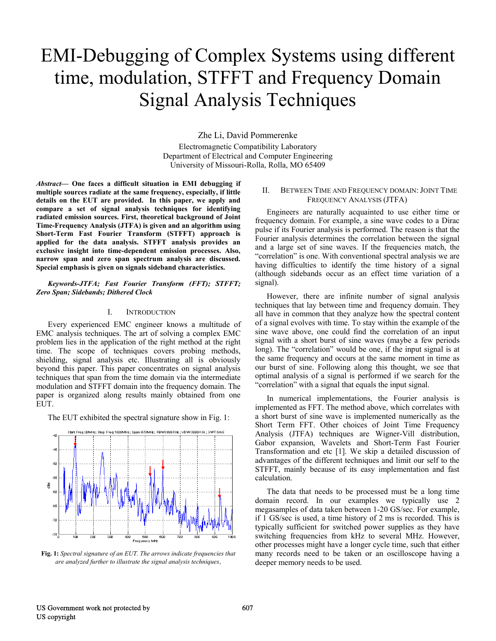# EMI-Debugging of Complex Systems using different time, modulation, STFFT and Frequency Domain Signal Analysis Techniques

Zhe Li, David Pommerenke Electromagnetic Compatibility Laboratory Department of Electrical and Computer Engineering University of Missouri-Rolla, Rolla, MO 65409

*Abstract***— One faces a difficult situation in EMI debugging if multiple sources radiate at the same frequency, especially, if little details on the EUT are provided. In this paper, we apply and compare a set of signal analysis techniques for identifying radiated emission sources. First, theoretical background of Joint Time-Frequency Analysis (JTFA) is given and an algorithm using Short-Term Fast Fourier Transform (STFFT) approach is applied for the data analysis. STFFT analysis provides an exclusive insight into time-dependent emission processes. Also, narrow span and zero span spectrum analysis are discussed. Special emphasis is given on signals sideband characteristics.** 

*Keywords-JTFA; Fast Fourier Transform (FFT); STFFT; Zero Span; Sidebands; Dithered Clock* 

#### I. INTRODUCTION

Every experienced EMC engineer knows a multitude of EMC analysis techniques. The art of solving a complex EMC problem lies in the application of the right method at the right time. The scope of techniques covers probing methods, shielding, signal analysis etc. Illustrating all is obviously beyond this paper. This paper concentrates on signal analysis techniques that span from the time domain via the intermediate modulation and STFFT domain into the frequency domain. The paper is organized along results mainly obtained from one EUT.

The EUT exhibited the spectral signature show in Fig. 1:



**Fig. 1:** *Spectral signature of an EUT. The arrows indicate frequencies that are analyzed further to illustrate the signal analysis techniques*.

#### II. BETWEEN TIME AND FREQUENCY DOMAIN: JOINT TIME FREQUENCY ANALYSIS (JTFA)

Engineers are naturally acquainted to use either time or frequency domain. For example, a sine wave codes to a Dirac pulse if its Fourier analysis is performed. The reason is that the Fourier analysis determines the correlation between the signal and a large set of sine waves. If the frequencies match, the "correlation" is one. With conventional spectral analysis we are having difficulties to identify the time history of a signal (although sidebands occur as an effect time variation of a signal).

However, there are infinite number of signal analysis techniques that lay between time and frequency domain. They all have in common that they analyze how the spectral content of a signal evolves with time. To stay within the example of the sine wave above, one could find the correlation of an input signal with a short burst of sine waves (maybe a few periods long). The "correlation" would be one, if the input signal is at the same frequency and occurs at the same moment in time as our burst of sine. Following along this thought, we see that optimal analysis of a signal is performed if we search for the "correlation" with a signal that equals the input signal.

In numerical implementations, the Fourier analysis is implemented as FFT. The method above, which correlates with a short burst of sine wave is implemented numerically as the Short Term FFT. Other choices of Joint Time Frequency Analysis (JTFA) techniques are Wigner-Vill distribution, Gabor expansion, Wavelets and Short-Term Fast Fourier Transformation and etc [1]. We skip a detailed discussion of advantages of the different techniques and limit our self to the STFFT, mainly because of its easy implementation and fast calculation.

The data that needs to be processed must be a long time domain record. In our examples we typically use 2 megasamples of data taken between 1-20 GS/sec. For example, if 1 GS/sec is used, a time history of 2 ms is recorded. This is typically sufficient for switched power supplies as they have switching frequencies from kHz to several MHz. However, other processes might have a longer cycle time, such that either many records need to be taken or an oscilloscope having a deeper memory needs to be used.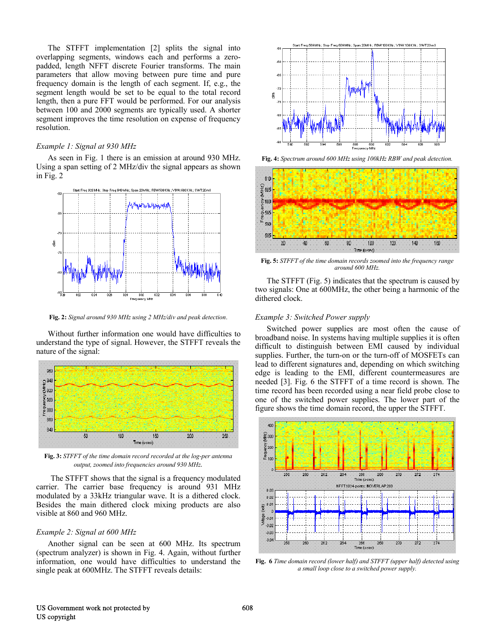The STFFT implementation [2] splits the signal into overlapping segments, windows each and performs a zeropadded, length NFFT discrete Fourier transforms. The main parameters that allow moving between pure time and pure frequency domain is the length of each segment. If, e.g., the segment length would be set to be equal to the total record length, then a pure FFT would be performed. For our analysis between 100 and 2000 segments are typically used. A shorter segment improves the time resolution on expense of frequency resolution.

#### *Example 1: Signal at 930 MHz*

As seen in Fig. 1 there is an emission at around 930 MHz. Using a span setting of 2 MHz/div the signal appears as shown in Fig. 2



**Fig. 2:** *Signal around 930 MHz using 2 MHz/div and peak detection*.

Without further information one would have difficulties to understand the type of signal. However, the STFFT reveals the nature of the signal:



**Fig. 3:** *STFFT of the time domain record recorded at the log-per antenna output, zoomed into frequencies around 930 MHz.* 

The STFFT shows that the signal is a frequency modulated carrier. The carrier base frequency is around 931 MHz modulated by a 33kHz triangular wave. It is a dithered clock. Besides the main dithered clock mixing products are also visible at 860 and 960 MHz.

#### *Example 2: Signal at 600 MHz*

Another signal can be seen at 600 MHz. Its spectrum (spectrum analyzer) is shown in Fig. 4. Again, without further information, one would have difficulties to understand the single peak at 600MHz. The STFFT reveals details:



**Fig. 4:** *Spectrum around 600 MHz using 100kHz RBW and peak detection.*



**Fig. 5:** *STFFT of the time domain records zoomed into the frequency range around 600 MHz.*

The STFFT (Fig. 5) indicates that the spectrum is caused by two signals: One at 600MHz, the other being a harmonic of the dithered clock.

#### *Example 3: Switched Power supply*

Switched power supplies are most often the cause of broadband noise. In systems having multiple supplies it is often difficult to distinguish between EMI caused by individual supplies. Further, the turn-on or the turn-off of MOSFETs can lead to different signatures and, depending on which switching edge is leading to the EMI, different countermeasures are needed [3]. Fig. 6 the STFFT of a time record is shown. The time record has been recorded using a near field probe close to one of the switched power supplies. The lower part of the figure shows the time domain record, the upper the STFFT.



**Fig. 6** *Time domain record (lower half) and STFFT (upper half) detected using a small loop close to a switched power supply.*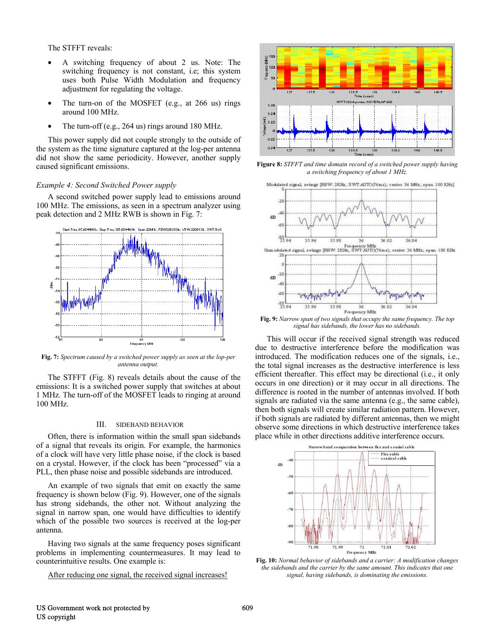The STFFT reveals:

- A switching frequency of about 2 us. Note: The switching frequency is not constant, i.e; this system uses both Pulse Width Modulation and frequency adjustment for regulating the voltage.
- The turn-on of the MOSFET (e.g., at 266 us) rings around 100 MHz.
- The turn-off (e.g., 264 us) rings around 180 MHz.

This power supply did not couple strongly to the outside of the system as the time signature captured at the log-per antenna did not show the same periodicity. However, another supply caused significant emissions.

#### *Example 4: Second Switched Power supply*

A second switched power supply lead to emissions around 100 MHz. The emissions, as seen in a spectrum analyzer using peak detection and 2 MHz RWB is shown in Fig. 7:



**Fig. 7:** *Spectrum caused by a switched power supply as seen at the lop-per antenna output.* 

The STFFT (Fig. 8) reveals details about the cause of the emissions: It is a switched power supply that switches at about 1 MHz. The turn-off of the MOSFET leads to ringing at around 100 MHz.

#### III. SIDEBAND BEHAVIOR

Often, there is information within the small span sidebands of a signal that reveals its origin. For example, the harmonics of a clock will have very little phase noise, if the clock is based on a crystal. However, if the clock has been "processed" via a PLL, then phase noise and possible sidebands are introduced.

An example of two signals that emit on exactly the same frequency is shown below (Fig. 9). However, one of the signals has strong sidebands, the other not. Without analyzing the signal in narrow span, one would have difficulties to identify which of the possible two sources is received at the log-per antenna.

Having two signals at the same frequency poses significant problems in implementing countermeasures. It may lead to counterintuitive results. One example is:

After reducing one signal, the received signal increases!



**Figure 8:** *STFFT and time domain record of a switched power supply having a switching frequency of about 1 MHz.* 



**Fig. 9:** *Narrow span of two signals that occupy the same frequency. The top signal has sidebands, the lower has no sidebands.*

This will occur if the received signal strength was reduced due to destructive interference before the modification was introduced. The modification reduces one of the signals, i.e., the total signal increases as the destructive interference is less efficient thereafter. This effect may be directional (i.e., it only occurs in one direction) or it may occur in all directions. The difference is rooted in the number of antennas involved. If both signals are radiated via the same antenna (e.g., the same cable), then both signals will create similar radiation pattern. However, if both signals are radiated by different antennas, then we might observe some directions in which destructive interference takes place while in other directions additive interference occurs.



**Fig. 10:** *Normal behavior of sidebands and a carrier: A modification changes the sidebands and the carrier by the same amount. This indicates that one signal, having sidebands, is dominating the emissions.*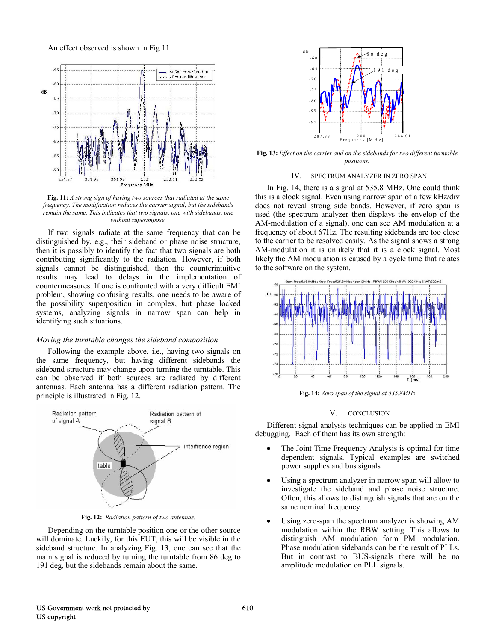#### An effect observed is shown in Fig 11.



**Fig. 11:** *A strong sign of having two sources that radiated at the same frequency. The modification reduces the carrier signal, but the sidebands remain the same. This indicates that two signals, one with sidebands, one without superimpose.* 

If two signals radiate at the same frequency that can be distinguished by, e.g., their sideband or phase noise structure, then it is possibly to identify the fact that two signals are both contributing significantly to the radiation. However, if both signals cannot be distinguished, then the counterintuitive results may lead to delays in the implementation of countermeasures. If one is confronted with a very difficult EMI problem, showing confusing results, one needs to be aware of the possibility superposition in complex, but phase locked systems, analyzing signals in narrow span can help in identifying such situations.

#### *Moving the turntable changes the sideband composition*

Following the example above, i.e., having two signals on the same frequency, but having different sidebands the sideband structure may change upon turning the turntable. This can be observed if both sources are radiated by different antennas. Each antenna has a different radiation pattern. The principle is illustrated in Fig. 12.



**Fig. 12:** *Radiation pattern of two antennas.* 

Depending on the turntable position one or the other source will dominate. Luckily, for this EUT, this will be visible in the sideband structure. In analyzing Fig. 13, one can see that the main signal is reduced by turning the turntable from 86 deg to 191 deg, but the sidebands remain about the same.



**Fig. 13:** *Effect on the carrier and on the sidebands for two different turntable positions.* 

#### IV. SPECTRUM ANALYZER IN ZERO SPAN

In Fig. 14, there is a signal at 535.8 MHz. One could think this is a clock signal. Even using narrow span of a few kHz/div does not reveal strong side bands. However, if zero span is used (the spectrum analyzer then displays the envelop of the AM-modulation of a signal), one can see AM modulation at a frequency of about 67Hz. The resulting sidebands are too close to the carrier to be resolved easily. As the signal shows a strong AM-modulation it is unlikely that it is a clock signal. Most likely the AM modulation is caused by a cycle time that relates to the software on the system.



**Fig. 14:** *Zero span of the signal at 535.8MHz*

#### V. CONCLUSION

Different signal analysis techniques can be applied in EMI debugging. Each of them has its own strength:

- The Joint Time Frequency Analysis is optimal for time dependent signals. Typical examples are switched power supplies and bus signals
- Using a spectrum analyzer in narrow span will allow to investigate the sideband and phase noise structure. Often, this allows to distinguish signals that are on the same nominal frequency.
- Using zero-span the spectrum analyzer is showing AM modulation within the RBW setting. This allows to distinguish AM modulation form PM modulation. Phase modulation sidebands can be the result of PLLs. But in contrast to BUS-signals there will be no amplitude modulation on PLL signals.